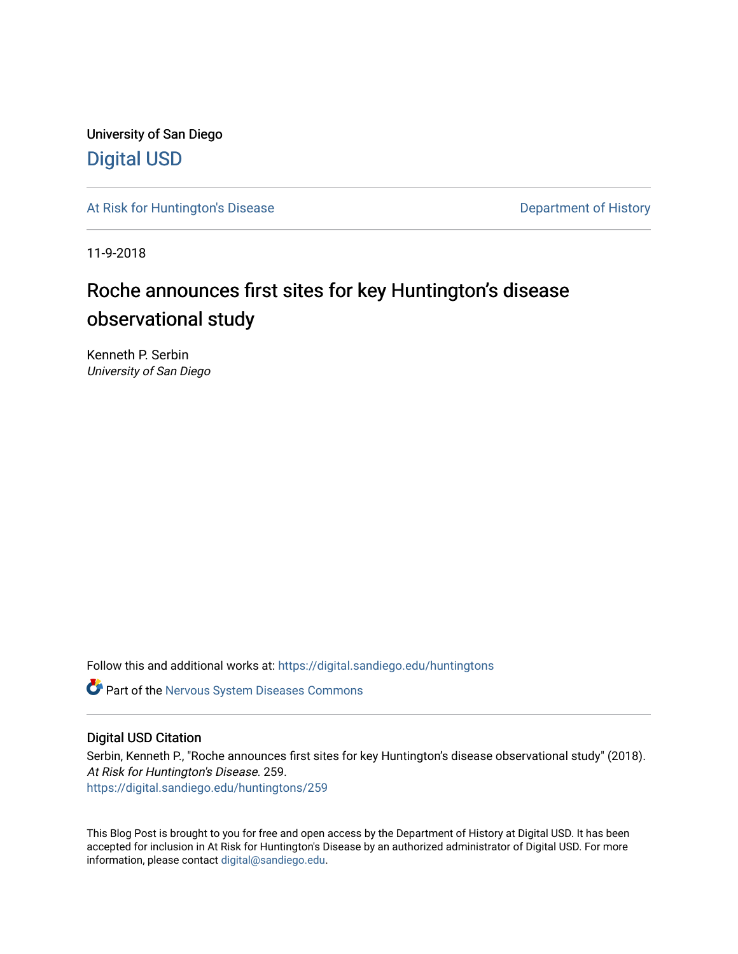University of San Diego [Digital USD](https://digital.sandiego.edu/)

[At Risk for Huntington's Disease](https://digital.sandiego.edu/huntingtons) **Department of History** Department of History

11-9-2018

## Roche announces first sites for key Huntington's disease observational study

Kenneth P. Serbin University of San Diego

Follow this and additional works at: [https://digital.sandiego.edu/huntingtons](https://digital.sandiego.edu/huntingtons?utm_source=digital.sandiego.edu%2Fhuntingtons%2F259&utm_medium=PDF&utm_campaign=PDFCoverPages)

**C** Part of the [Nervous System Diseases Commons](http://network.bepress.com/hgg/discipline/928?utm_source=digital.sandiego.edu%2Fhuntingtons%2F259&utm_medium=PDF&utm_campaign=PDFCoverPages)

## Digital USD Citation

Serbin, Kenneth P., "Roche announces first sites for key Huntington's disease observational study" (2018). At Risk for Huntington's Disease. 259. [https://digital.sandiego.edu/huntingtons/259](https://digital.sandiego.edu/huntingtons/259?utm_source=digital.sandiego.edu%2Fhuntingtons%2F259&utm_medium=PDF&utm_campaign=PDFCoverPages)

This Blog Post is brought to you for free and open access by the Department of History at Digital USD. It has been accepted for inclusion in At Risk for Huntington's Disease by an authorized administrator of Digital USD. For more information, please contact [digital@sandiego.edu.](mailto:digital@sandiego.edu)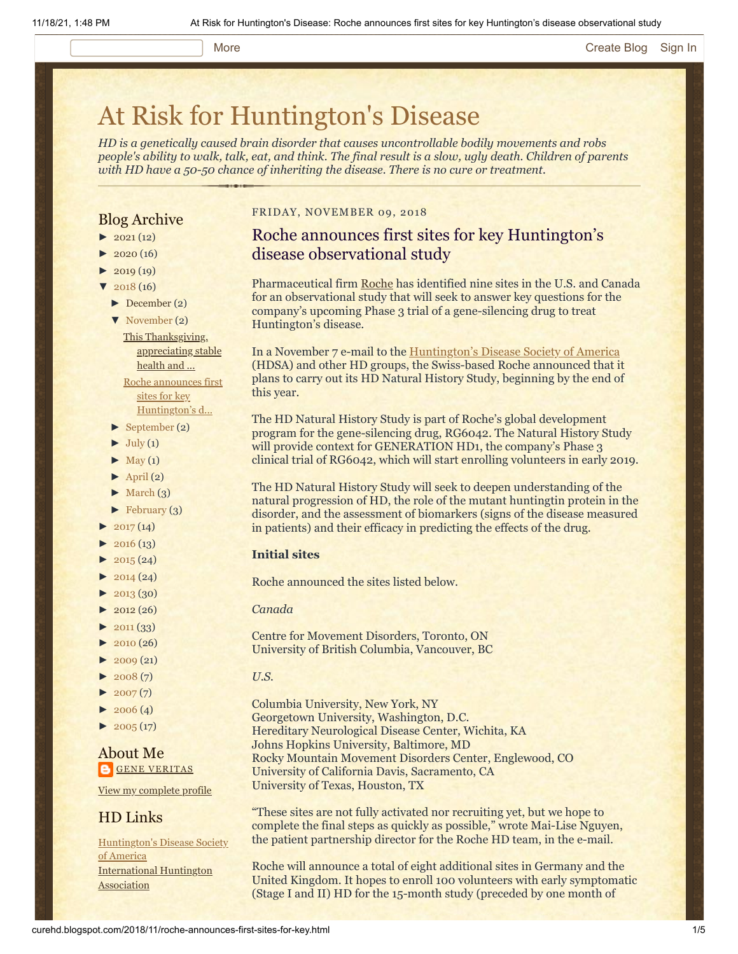#### More **[Create Blog](https://www.blogger.com/home#create) [Sign In](https://www.blogger.com/)**

# [At Risk for Huntington's Disease](http://curehd.blogspot.com/)

*HD is a genetically caused brain disorder that causes uncontrollable bodily movements and robs people's ability to walk, talk, eat, and think. The final result is a slow, ugly death. Children of parents with HD have a 50-50 chance of inheriting the disease. There is no cure or treatment.*

## Blog Archive

- $\blacktriangleright$  [2021](http://curehd.blogspot.com/2021/) (12)
- $2020(16)$  $2020(16)$
- $\blacktriangleright$  [2019](http://curehd.blogspot.com/2019/) (19)
- $\sqrt{2018(16)}$  $\sqrt{2018(16)}$  $\sqrt{2018(16)}$ 
	- [►](javascript:void(0)) [December](http://curehd.blogspot.com/2018/12/) (2)
	- [▼](javascript:void(0)) [November](http://curehd.blogspot.com/2018/11/) (2) This [Thanksgiving,](http://curehd.blogspot.com/2018/11/this-thanksgiving-appreciating-stable.html) appreciating stable health and ... Roche announces first

sites for key [Huntington's](http://curehd.blogspot.com/2018/11/roche-announces-first-sites-for-key.html) d...

- [►](javascript:void(0)) [September](http://curehd.blogspot.com/2018/09/) (2)
- $\blacktriangleright$  [July](http://curehd.blogspot.com/2018/07/) (1)
- $\blacktriangleright$  [May](http://curehd.blogspot.com/2018/05/) (1)
- $\blacktriangleright$  [April](http://curehd.blogspot.com/2018/04/) (2)
- $\blacktriangleright$  [March](http://curehd.blogspot.com/2018/03/) (3)
- $\blacktriangleright$  [February](http://curehd.blogspot.com/2018/02/) (3)
- $2017(14)$  $2017(14)$
- $\blacktriangleright$  [2016](http://curehd.blogspot.com/2016/) (13)
- $\blacktriangleright$  [2015](http://curehd.blogspot.com/2015/) (24)
- $\blacktriangleright$  [2014](http://curehd.blogspot.com/2014/) (24)
- $\blacktriangleright$  [2013](http://curehd.blogspot.com/2013/) (30)
- $\blacktriangleright$  [2012](http://curehd.blogspot.com/2012/) (26)
- $\blacktriangleright$  [2011](http://curehd.blogspot.com/2011/) (33)
- [►](javascript:void(0)) [2010](http://curehd.blogspot.com/2010/) (26)
- $\blacktriangleright$  [2009](http://curehd.blogspot.com/2009/) (21)
- $\blacktriangleright$  [2008](http://curehd.blogspot.com/2008/) $(7)$
- $\blacktriangleright$  [2007](http://curehd.blogspot.com/2007/) $(7)$
- $\blacktriangleright$  [2006](http://curehd.blogspot.com/2006/) (4)
- $\blacktriangleright$  [2005](http://curehd.blogspot.com/2005/) (17)

## About Me **GENE [VERITAS](https://www.blogger.com/profile/10911736205741688185)**

View my [complete](https://www.blogger.com/profile/10911736205741688185) profile

## HD Links

[Huntington's](http://www.hdsa.org/) Disease Society of America [International](http://www.huntington-assoc.com/) Huntington **Association** 

#### FRIDAY, NOVEMBER 09, 2018

## Roche announces first sites for key Huntington's disease observational study

Pharmaceutical firm [Roche](https://www.roche.com/) has identified nine sites in the U.S. and Canada for an observational study that will seek to answer key questions for the company's upcoming Phase 3 trial of a gene-silencing drug to treat Huntington's disease.

In a November 7 e-mail to the **[Huntington's Disease Society of America](http://www.hdsa.org/)** (HDSA) and other HD groups, the Swiss-based Roche announced that it plans to carry out its HD Natural History Study, beginning by the end of this year.

The HD Natural History Study is part of Roche's global development program for the gene-silencing drug, RG6042. The Natural History Study will provide context for GENERATION HD1, the company's Phase 3 clinical trial of RG6042, which will start enrolling volunteers in early 2019.

The HD Natural History Study will seek to deepen understanding of the natural progression of HD, the role of the mutant huntingtin protein in the disorder, and the assessment of biomarkers (signs of the disease measured in patients) and their efficacy in predicting the effects of the drug.

#### **Initial sites**

Roche announced the sites listed below.

#### *Canada*

Centre for Movement Disorders, Toronto, ON University of British Columbia, Vancouver, BC

- *U.S.*
- Columbia University, New York, NY

Georgetown University, Washington, D.C. Hereditary Neurological Disease Center, Wichita, KA Johns Hopkins University, Baltimore, MD Rocky Mountain Movement Disorders Center, Englewood, CO University of California Davis, Sacramento, CA University of Texas, Houston, TX

"These sites are not fully activated nor recruiting yet, but we hope to complete the final steps as quickly as possible," wrote Mai-Lise Nguyen, the patient partnership director for the Roche HD team, in the e-mail.

Roche will announce a total of eight additional sites in Germany and the United Kingdom. It hopes to enroll 100 volunteers with early symptomatic (Stage I and II) HD for the 15-month study (preceded by one month of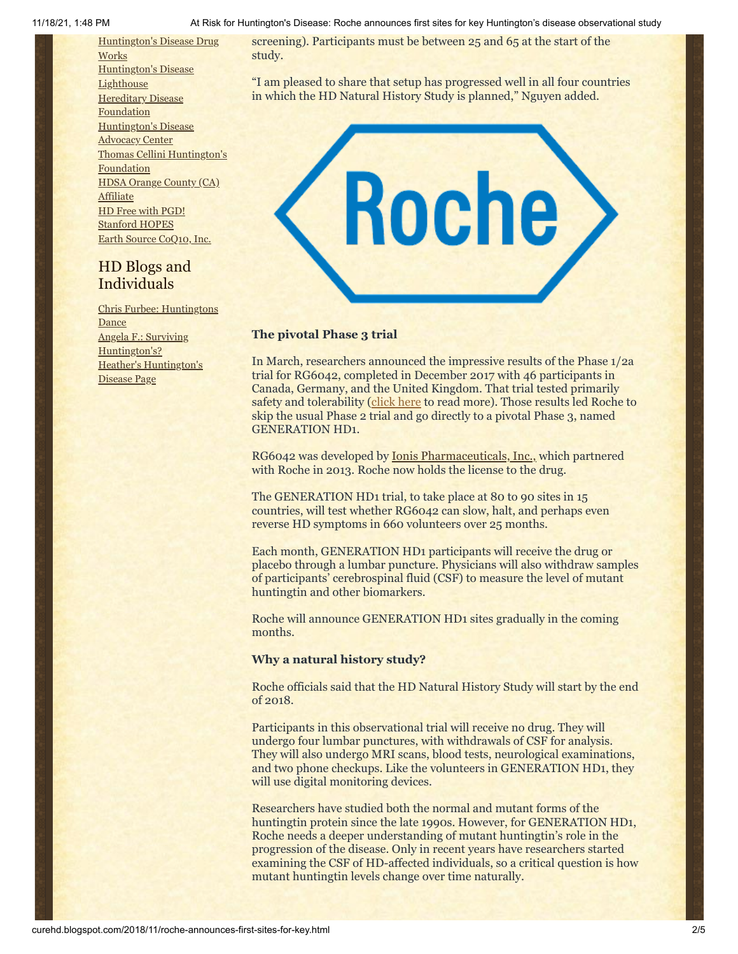11/18/21, 1:48 PM At Risk for Huntington's Disease: Roche announces first sites for key Huntington's disease observational study

[Huntington's](http://hddrugworks.org/) Disease Drug **Works** [Huntington's](http://www.hdlighthouse.org/) Disease **Lighthouse Hereditary Disease [Foundation](http://www.hdfoundation.org/)** [Huntington's](http://www.hdac.org/) Disease Advocacy Center Thomas [Cellini Huntington's](http://www.ourtchfoundation.org/) Foundation HDSA Orange County (CA) [Affiliate](http://www.hdsaoc.org/) HD Free with [PGD!](http://www.hdfreewithpgd.com/) [Stanford](http://www.stanford.edu/group/hopes/) HOPES Earth Source [CoQ10,](http://www.escoq10.com/) Inc.

## HD Blogs and Individuals

Chris Furbee: [Huntingtons](http://www.huntingtonsdance.org/) **Dance** Angela F.: Surviving [Huntington's?](http://survivinghuntingtons.blogspot.com/) Heather's [Huntington's](http://heatherdugdale.angelfire.com/) Disease Page

screening). Participants must be between 25 and 65 at the start of the study.

"I am pleased to share that setup has progressed well in all four countries in which the HD Natural History Study is planned," Nguyen added.



## **The pivotal Phase 3 trial**

In March, researchers announced the impressive results of the Phase 1/2a trial for RG6042, completed in December 2017 with 46 participants in Canada, Germany, and the United Kingdom. That trial tested primarily safety and tolerability [\(click here](http://curehd.blogspot.com/2018/03/ionis-phase-12a-clinical-trial-data.html) to read more). Those results led Roche to skip the usual Phase 2 trial and go directly to a pivotal Phase 3, named GENERATION HD1.

RG6042 was developed by [Ionis Pharmaceuticals, Inc.,](http://www.ionispharma.com/) which partnered with Roche in 2013. Roche now holds the license to the drug.

The GENERATION HD1 trial, to take place at 80 to 90 sites in 15 countries, will test whether RG6042 can slow, halt, and perhaps even reverse HD symptoms in 660 volunteers over 25 months.

Each month, GENERATION HD1 participants will receive the drug or placebo through a lumbar puncture. Physicians will also withdraw samples of participants' cerebrospinal fluid (CSF) to measure the level of mutant huntingtin and other biomarkers.

Roche will announce GENERATION HD1 sites gradually in the coming months.

## **Why a natural history study?**

Roche officials said that the HD Natural History Study will start by the end of 2018.

Participants in this observational trial will receive no drug. They will undergo four lumbar punctures, with withdrawals of CSF for analysis. They will also undergo MRI scans, blood tests, neurological examinations, and two phone checkups. Like the volunteers in GENERATION HD1, they will use digital monitoring devices.

Researchers have studied both the normal and mutant forms of the huntingtin protein since the late 1990s. However, for GENERATION HD1, Roche needs a deeper understanding of mutant huntingtin's role in the progression of the disease. Only in recent years have researchers started examining the CSF of HD-affected individuals, so a critical question is how mutant huntingtin levels change over time naturally.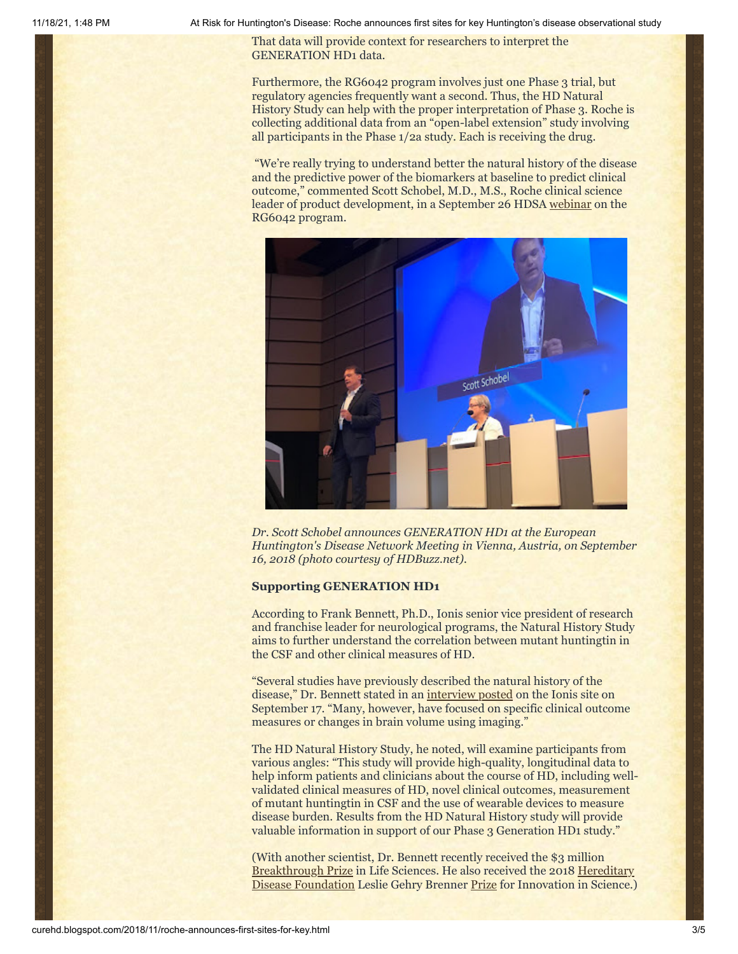11/18/21, 1:48 PM At Risk for Huntington's Disease: Roche announces first sites for key Huntington's disease observational study

That data will provide context for researchers to interpret the GENERATION HD1 data.

Furthermore, the RG6042 program involves just one Phase 3 trial, but regulatory agencies frequently want a second. Thus, the HD Natural History Study can help with the proper interpretation of Phase 3. Roche is collecting additional data from an "open-label extension" study involving all participants in the Phase 1/2a study. Each is receiving the drug.

"We're really trying to understand better the natural history of the disease and the predictive power of the biomarkers at baseline to predict clinical outcome," commented Scott Schobel, M.D., M.S., Roche clinical science leader of product development, in a September 26 HDSA [webinar](https://www.youtube.com/watch?reload=9&v=gAi6X5-Z2xo) on the RG6042 program.



*Dr. Scott Schobel announces GENERATION HD1 at the European Huntington's Disease Network Meeting in Vienna, Austria, on September 16, 2018 (photo courtesy of HDBuzz.net).*

#### **Supporting GENERATION HD1**

According to Frank Bennett, Ph.D., Ionis senior vice president of research and franchise leader for neurological programs, the Natural History Study aims to further understand the correlation between mutant huntingtin in the CSF and other clinical measures of HD.

"Several studies have previously described the natural history of the disease," Dr. Bennett stated in an [interview posted](http://www.ionispharma.com/hunt-new-treatment-puts-huntingtons-disease-crosshairs-ionis-pharmaceuticals-roche-announce-two-clinical-studies-begin-end-2018/) on the Ionis site on September 17. "Many, however, have focused on specific clinical outcome measures or changes in brain volume using imaging."

The HD Natural History Study, he noted, will examine participants from various angles: "This study will provide high-quality, longitudinal data to help inform patients and clinicians about the course of HD, including wellvalidated clinical measures of HD, novel clinical outcomes, measurement of mutant huntingtin in CSF and the use of wearable devices to measure disease burden. Results from the HD Natural History study will provide valuable information in support of our Phase 3 Generation HD1 study."

(With another scientist, Dr. Bennett recently received the \$3 million [Breakthrough Prize](http://www.sandiegouniontribune.com/business/biotech/sd-me-breakthrough-prize-ionis-20181017-story.html) [in Life Sciences. He also received the 2018 Hereditary](http://www.hdfoundation.org/) Disease Foundation Leslie Gehry Brenner [Prize](http://ir.ionispharma.com/news-releases/news-release-details/dr-c-frank-bennett-receives-leslie-gehry-brenner-prize) for Innovation in Science.)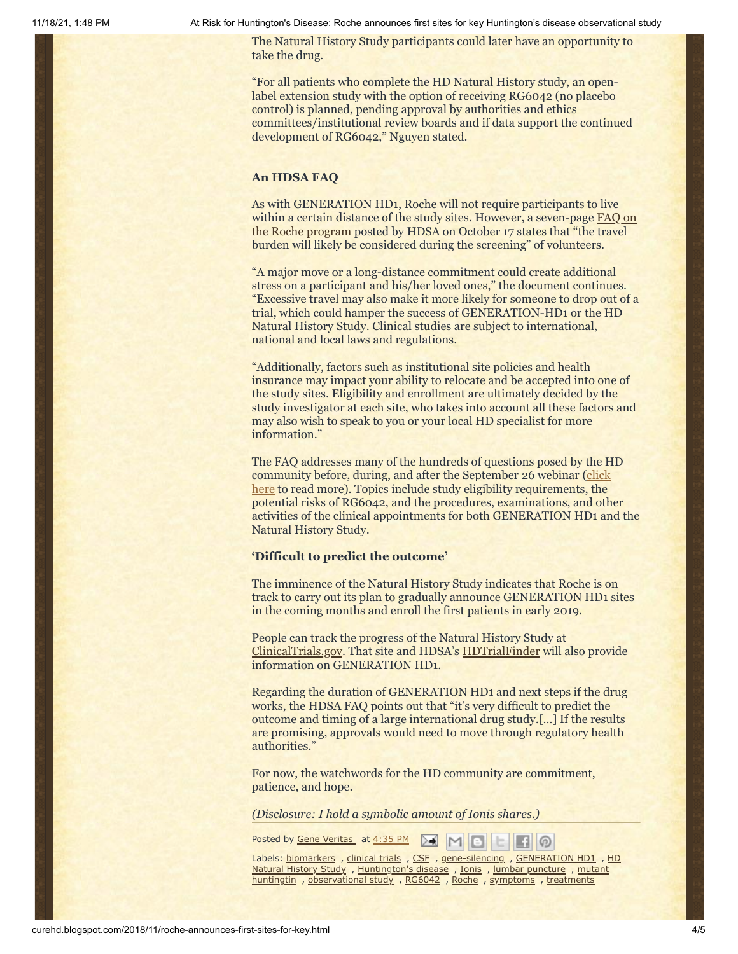11/18/21, 1:48 PM At Risk for Huntington's Disease: Roche announces first sites for key Huntington's disease observational study

The Natural History Study participants could later have an opportunity to take the drug.

"For all patients who complete the HD Natural History study, an openlabel extension study with the option of receiving RG6042 (no placebo control) is planned, pending approval by authorities and ethics committees/institutional review boards and if data support the continued development of RG6042," Nguyen stated.

#### **An HDSA FAQ**

As with GENERATION HD1, Roche will not require participants to live within a certain distance of the study sites. However, a seven-page **FAQ** on the Roche program posted by HDSA on October 17 states that "the travel burden will likely be considered during the screening" of volunteers.

"A major move or a long-distance commitment could create additional stress on a participant and his/her loved ones," the document continues. "Excessive travel may also make it more likely for someone to drop out of a trial, which could hamper the success of GENERATION-HD1 or the HD Natural History Study. Clinical studies are subject to international, national and local laws and regulations.

"Additionally, factors such as institutional site policies and health insurance may impact your ability to relocate and be accepted into one of the study sites. Eligibility and enrollment are ultimately decided by the study investigator at each site, who takes into account all these factors and may also wish to speak to you or your local HD specialist for more information."

The FAQ addresses many of the hundreds of questions posed by the HD [community before, during, and after the September 26 webinar \(click](http://curehd.blogspot.com/2018/09/unpacking-generation-hd1-roche-phase-3.html) here to read more). Topics include study eligibility requirements, the potential risks of RG6042, and the procedures, examinations, and other activities of the clinical appointments for both GENERATION HD1 and the Natural History Study.

#### **'Difficult to predict the outcome'**

The imminence of the Natural History Study indicates that Roche is on track to carry out its plan to gradually announce GENERATION HD1 sites in the coming months and enroll the first patients in early 2019.

People can track the progress of the Natural History Study at [ClinicalTrials.gov](https://clinicaltrials.gov/ct2/show/NCT03664804). That site and HDSA's [HDTrialFinder](http://www.hdtrialfinder.org/) will also provide information on GENERATION HD1.

Regarding the duration of GENERATION HD1 and next steps if the drug works, the HDSA FAQ points out that "it's very difficult to predict the outcome and timing of a large international drug study.[…] If the results are promising, approvals would need to move through regulatory health authorities."

For now, the watchwords for the HD community are commitment, patience, and hope.

*(Disclosure: I hold a symbolic amount of Ionis shares.)*

Posted by Gene [Veritas](https://www.blogger.com/profile/10911736205741688185) at [4:35](http://curehd.blogspot.com/2018/11/roche-announces-first-sites-for-key.html) PM  $>1$ Eil

Labels: [biomarkers](http://curehd.blogspot.com/search/label/biomarkers) , [clinical](http://curehd.blogspot.com/search/label/clinical%20trials) trials , [CSF](http://curehd.blogspot.com/search/label/CSF) , [gene-silencin](http://curehd.blogspot.com/search/label/gene-silencing)[g](http://curehd.blogspot.com/search/label/HD%20Natural%20History%20Study) , [GENERATION](http://curehd.blogspot.com/search/label/GENERATION%20HD1) HD1 , HD Natural History Study , [Huntington's](http://curehd.blogspot.com/search/label/Huntington%27s%20disease) disease , [Ionis](http://curehd.blogspot.com/search/label/Ionis) , lumbar [puncture](http://curehd.blogspot.com/search/label/lumbar%20puncture) , mutant huntingtin , [observational](http://curehd.blogspot.com/search/label/mutant%20huntingtin) study , [RG6042](http://curehd.blogspot.com/search/label/RG6042) , [Roche](http://curehd.blogspot.com/search/label/Roche) , [symptoms](http://curehd.blogspot.com/search/label/symptoms) , [treatments](http://curehd.blogspot.com/search/label/treatments)

 $\circ$